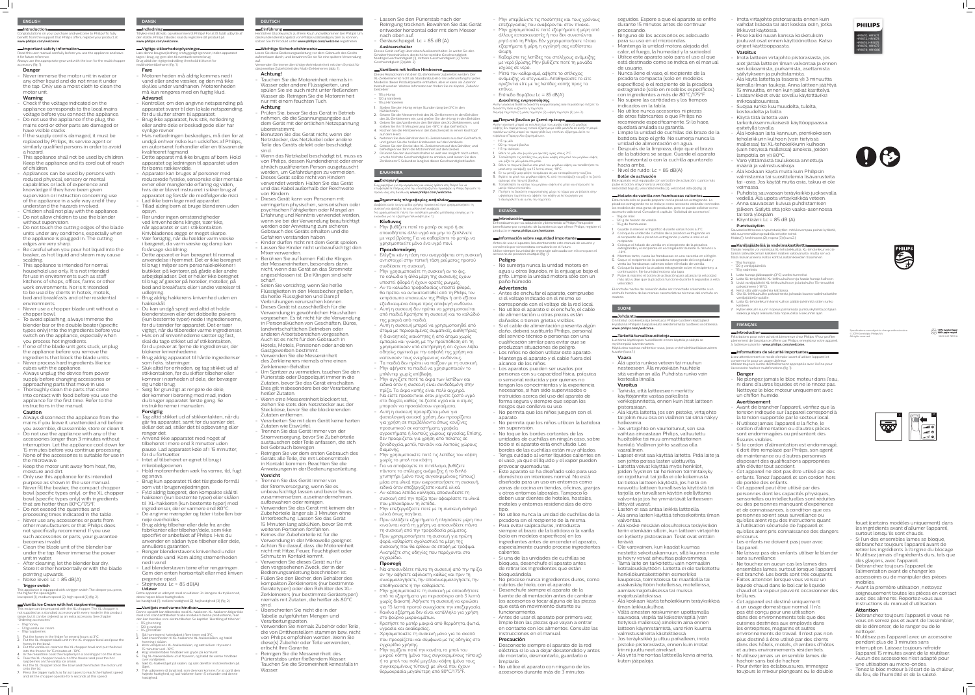# **DANSK**

**Indledning** Tillykke med dit køb, og velkommen til Philips! For at få fuldt udbytte af den støtte, Philips tilbyder, skal du registrere dit produkt på **www.philips.com/welcome.**

### **Vigtige sikkerhedsoplysninger**

Læs denne brugsvejledning omhyggeligt igennem, inden apparatet ages i brug, og gem den til eventuelt senere brug Brug altid den rigtige indstilling i henhold til ikonet for multihakkertilbehøret (fig. 1).

### **Fare**

- Motorenheden må aldrig kommes ned i vand eller andre væsker, og den må ikke skylles under vandhanen. Motorenheden må kun rengøres med en fugtig klud. **Advarsel**

- Kontroller, om den angivne netspænding på apparatet svarer til den lokale netspænding, før du slutter strøm til apparatet. - Brug ikke apparatet, hvis stik, netledning eller andre dele er beskadigede eller har

synlige revner. - Hvis netledningen beskadiges, må den for at undgå enhver risiko kun udskiftes af Philips, en autoriseret forhandler eller en tilsvarende kvalificeret fagmand.

- Dette apparat må ikke bruges af børn. Hold apparatet og ledningen til apparatet uden for børns rækkevidde.

- Apparater kan bruges af personer med reducerede fysiske, sensoriske eller mentale evner eller manglende erfaring og viden, hvis de er blevet instrueret i sikker brug af apparatet og forstår de medfølgende risici.
- Lad ikke børn lege med apparatet. - Tillad aldrig børn at bruge blenderen uden
- opsyn. - Rør under ingen omstændigheder ved knivenhedens klinger, især ikke,
- når apparatet er sat i stikkontakten. Knivbladenes ægge er meget skarpe. - Vær forsigtig, når du hælder varm væske
- i bægeret, da varm væske og damp kan forårsage skoldning. - Dette apparat er kun beregnet til normal
- anvendelse i hjemmet. Det er ikke beregnet til brug i miljøer som personalekøkkener i butikker, på kontorer, på gårde eller andre arbejdspladser. Det er heller ikke beregnet til brug af gæster på hoteller, moteller, på bed and breakfasts eller i andre værelser til udlejning.

- Brug aldrig hakkerens knivenhed uden en hakkeskål.

– 120 g vaniljeis 115 g hindbæ

- Du kan undgå sprøjt ved altid at holde blenderstaven eller det dobbelte piskeris (kun bestemte typer) nede i ingredienserne, før du tænder for apparatet. Det er især vigtigt, når du tilbereder varme ingredienser.
- Hvis en af knivenhederne sætter sig fast, skal du tage stikket ud af stikkontakten, før du prøver at fjerne de ingredienser, der blokerer knivenhederne.
- Brug aldrig apparatet til hårde ingredienser som f.eks. isterninger.
- Sluk altid for enheden, og tag stikket ud af stikkontakten, før du skifter tilbehør eller kommer i nærheden af dele, der bevæger sig under brug.
- Sørg for grundigt at rengøre de dele, der kommer i berøring med mad, inden du bruger apparatet første gang. Se instruktionerne i manualen. **Forsigtig**

- Tag altid stikket ud af stikkontakten, når du går fra apparatet, samt før du samler det, skiller det ad, stiller det til opbevaring eller rengør det.

- Anvend ikke apparatet med noget af tilbehøret i mere end 3 minutter uden pause. Lad apparatet køle af i 15 minutter, før du fortsætter.

- Intet af tilbehøret er egnet til brug i mikrobølgeovnen.

- Hold motorenheden væk fra varme, ild, fugt og snavs. - Brug kun apparatet til det tilsigtede formål

- som vist i brugervejledningen. - Fyld aldrig bægeret, den kompakte skål til hakkeren (kun bestemte typer) eller skålen til XL-hakkeren (kun bestemte typer) med
- ingredienser, der er varmere end 80°C. - De angivne mængder og tider i tabellen bør nøje overholdes.
- Brug aldrig tilbehør eller dele fra andre fabrikanter eller tilbehør/dele, som ikke specifikt er anbefalet af Philips. Hvis du anvender en sådan type tilbehør eller dele, annulleres garantien.
- Rengør blenderstavens knivenhed under rindende vand. Kom aldrig strømenheden ned i vand.
- Lad blenderstaven tørre efter rengøringen. Gem den enten horisontalt eller med kniven pegende opad.
- Støjniveau: Lc = 85 dB(A) **Udløser**

Dette apparat er udstyret med en udløser: Jo længere du trykker ned, desto højere bliver hastigheden. lav hastighed (1), mellem hastighed (2), høj hastighed (3) (fig. 2).

**Vaniljeis med varme hindbær**

#### Denne opskrift kan tilberedes med XL-hakkeren. XL-hakkeren følger ikke med som standardtilbehør til alle modeller i denne produktserie, men den kan bestilles som ekstra tilbehør. Se kapitlet "Bestilling af tilbehør". – 115 g honning

Reinigen Sie die Messereinheit des Pürierstabs unter fließendem Wasser.

- 2. Sæt knivenheden til XL-hakkeren i XL-hakkeskålen, og hæld honning i skålen.
- 3. Kom vaniljeisen i XL-hakkerskålen, og sæt skålen i fryseren i 15 minutter ved -18°C.
- 4. Kog i mellemtiden hindbær i en gryde på komfuret.
- 5. Tag XL-hakkerskålen ud af fryseren, og hæld de varme hindbær over vaniljeisen.
- 6. Sæt XL-hakkerlåget på skålen, og sæt derefter motorenheden på låget. 7. Tryk udløseren så langt ind, som den kan komme, for at opnå den højeste hastighed, og lad hakkeren køre i 5 sekunder ved denne

hastighed.

1. Stil honningen i køleskabet i flere timer ved 3°C.

# **DEUTSCH Einführung**

Herzlichen Glückwunsch zu Ihrem Kauf und willkommen bei Philips! Um

#### das Kundendienstangebot von Philips vollständig nutzen zu können, sollten Sie Ihr Produkt unter **www.philips.com/welcome** registrieren.

#### **Wichtige Sicherheitshinweise** Lesen Sie diese Bedienungsanleitung vor dem Gebrauch des Geräts

aufmerksam durch, und bewahren Sie sie für eine spätere Verwendung auf. Verwenden Sie immer die richtige Antriebseinheit mit dem Symbol für das jeweilige Zubehörteil des Multi-Zerkleinerers (abb. 1).

## **Achtung!**

- Tauchen Sie die Motoreinheit niemals in Wasser oder andere Flüssigkeiten, und spülen Sie sie auch nicht unter fließendem Wasser ab. Reinigen Sie die Motoreinheit nur mit einem feuchten Tuch. **Achtung**

> **ι Εισαγωγή κα** Συγχαρητήρια για την αγορά σας και καλώς ήρθατε στη Philips! Για να επωφεληθείτε πλήρως από την υποστήριξη που προσφέρει η Philips, δηλώστε το προϊόν σας στη διεύθυνση **www.philips.com/welcome**.

- Prüfen Sie, bevor Sie das Gerät in Betrieb nehmen, ob die Spannungsangabe auf dem Gerät mit der örtlichen Netzspannung übereinstimmt. - Benutzen Sie das Gerät nicht, wenn der

Netzstecker, das Netzkabel oder andere Teile des Geräts defekt oder beschädigt sind.

- Wenn das Netzkabel beschädigt ist, muss es von Philips, dessen Kundendienst oder einer ähnlich qualifizierten Person ausgetauscht werden, um Gefährdungen zu vermeiden.

- Dieses Gerät sollte nicht von Kindern verwendet werden. Halten Sie das Gerät und das Kabel außerhalb der Reichweite von Kindern.
- Dieses Gerät kann von Personen mit verringerten physischen, sensorischen oder psychischen Fähigkeiten oder Mangel an Erfahrung und Kenntnis verwendet werden, wenn sie bei der Verwendung beaufsichtigt werden oder Anweisung zum sicheren Gebrauch des Geräts erhalten und die Gefahren verstanden haben.
- Kinder dürfen nicht mit dem Gerät spielen. - Lassen Sie Kinder nicht unbeaufsichtigt den
- Mixer verwenden.
- Berühren Sie auf keinen Fall die Klingen der Messereinheiten, besonders dann nicht, wenn das Gerät an das Stromnetz angeschlossen ist. Die Klingen sind sehr scharf.
- Seien Sie vorsichtig, wenn Sie heiße Flüssigkeiten in den Messbecher gießen, da heiße Flüssigkeiten und Dampf Verbrühungen verursachen können.
- Dieses Gerät ist ausschließlich für die Verwendung in gewöhnlichen Haushalten vorgesehen. Es ist nicht für die Verwendung in Personalküchen von Geschäften, Büros, landwirtschaftlichen Betrieben oder anderen Arbeitsbereichen vorgesehen. Auch ist es nicht für den Gebrauch in Hotels, Motels, Pensionen oder anderen Gastgewerben bestimmt. - Verwenden Sie die Messereinheit des Zerkleinerers niemals ohne einen

Zerkleinerer-Behälter. - Um Spritzer zu vermeiden, tauchen Sie den Pürierstab oder Doppelquirl immer in die Zutaten, bevor Sie das Gerät einschalten. Dies gilt insbesondere bei der Verarbeitung heißer Zutaten.

- Wenn eine Messereinheit blockiert ist, ziehen Sie stets den Netzstecker aus der Steckdose, bevor Sie die blockierenden Zutaten entfernen.
- Verarbeiten Sie mit dem Gerät keine harten Zutaten wie Eiswürfel.

- Trennen Sie das Gerät immer von der Stromversorgung, bevor Sie Zubehörteile austauschen oder Teile anfassen, die sich

bei Gebrauch bewegen.

- Reinigen Sie vor dem ersten Gebrauch des Geräts alle Teile, die mit Lebensmitteln in Kontakt kommen. Beachten Sie die Anweisungen in der Bedienungsanleitung.

**Vorsicht**

- Trennen Sie das Gerät immer von der Stromversorgung, wenn Sie es

unbeaufsichtigt lassen und bevor Sie es zusammensetzen, auseinandernehmen,

aufbewahren oder reinigen.

- Verwenden Sie das Gerät mit keinem der Zubehörteile länger als 3 Minuten ohne Unterbrechung. Lassen Sie das Gerät 15 Minuten lang abkühlen, bevor Sie mit

weiteren Portionen fortfahren. - Keines der Zubehörteile ist für die

Verwendung in der Mikrowelle geeignet. - Achten Sie darauf, dass die Motoreinheit nicht mit Hitze, Feuer, Feuchtigkeit oder

Schmutz in Kontakt kommt.

- Verwenden Sie dieses Gerät nur für den vorgesehenen Zweck, der in der Bedienungsanleitung beschrieben ist. - Füllen Sie den Becher, den Behälter des kompakten Zerkleinerers (nur bestimmte Gerätetypen) oder den Behälter des XL-Zerkleinerers (nur bestimmte Gerätetypen) niemals mit Zutaten, die heißer als 80°C

sind.

- Überschreiten Sie nicht die in der Tabelle aufgeführten Mengen und

Verarbeitungszeiten.

- Verwenden Sie niemals Zubehör oder Teile, die von Drittherstellern stammen bzw. nicht von Philips empfohlen werden. Wenn Sie diese(s) Zubehör oder Teile verwenden,

erlischt Ihre Garantie.

Tauchen Sie die Stromeinheit keinesfalls in

Wasser.

- Lassen Sie den Pürierstab nach der Reinigung trocknen. Bewahren Sie das Gerät entweder horizontal oder mit dem Messer
- nach oben auf. - Geräuschpegel: Lc = 85 dB (A)

# **Auslöserschalter**

Dieses Gerät verfügt über einen Auslöserschalter: Je weiter Sie den Schalter hineindrücken, desto höher wird die Geschwindigkeit. Niedrige Geschwindigkeit (1), mittlere Geschwindigkeit (2), hohe Geschwindigkeit (3) (abb. 2).

# **Vanilleeis mit heißen Himbeeren**

Dieses Rezept kann mit dem XL-Zerkleinerer zubereitet werden. Der XL-Zerkleinerer ist nicht als Standardzubehör im Lieferumfang für jedes Modell in dieser Produktpalette enthalten, aber er kann als Zubehör bestellt werden. Weitere Informationen finden Sie im Kapitel "Zubehör bestellen".

#### **Important safety information** Read this user manual carefully before you use the appliance and save

it for future reference Always use the appropriate gear unit with the icon for the multi chopper accessory (fig. 1).

- 115 g Honig
- 120 g Vanilleeis
- 115 g Himbeeren
- 1. Stellen Sie den Honig einige Stunden lang bei 3°C in den Kühlschrank.
- 2. Setzen Sie die Messereinheit des XL-Zerkleinerers in den Behälter des XL-Zerkleinerers ein, und gießen Sie den Honig in den Behälter.
- 3. Geben Sie das Vanilleeis in den Behälter des XL-Zerkleinerers, und stellen Sie ihn 15 Minuten lang bei -18°C in das Gefrierfach. 4. Kochen Sie die Himbeeren in der Zwischenzeit in einem Kochtopf auf dem Herd.
- 5. Nehmen Sie den Behälter des XL-Zerkleinerers aus dem Gefrierfach, und geben Sie die heißen Himbeeren auf das Vanilleeis.
- 6. Setzen Sie den Deckel des XL-Zerkleinerers auf den Behälter, und befestigen Sie dann die Motoreinheit auf den Deckel. 7. Drücken Sie den Auslöserschalter so weit wie möglich nach unten, um die höchste Geschwindigkeit zu erzielen, und lassen Sie den
- Zerkleinerer 5 Sekunden lang bei dieser Geschwindigkeit laufen.

- Children shall not play with the appliance. - Do not allow children to use the blender

# **ΕΛΛΗΝΙΚΆ**

# **Σημαντικές πληροφορίες ασφαλείας**

Διαβάστε αυτό το εγχειρίδιο χρήσης προσεκτικά πριν χρησιμοποιήσετε τη συσκευή και φυλάξτε το για μελλοντική αναφορά. Να χρησιμοποιείτε πάντα την κατάλληλη μονάδα μετάδοσης κίνησης με το εικονίδιο για το εξάρτημα πολυκόφτη (εικ. 1).

## **Κίνδυνος**

- Μην βυθίζετε ποτέ το μοτέρ σε νερό ή σε οποιοδήποτε άλλο υγρό και μην το ξεπλένετε με νερό βρύσης. Για να καθαρίσετε το μοτέρ, να χρησιμοποιείτε μόνο ένα υγρό πανί. **Προειδοποίηση**

- Ελέγξτε εάν η τάση που αναγράφεται στη συσκευή αντιστοιχεί στην τοπική τάση ρεύματος προτού
- συνδέσετε τη συσκευή. - Μην χρησιμοποιείτε τη συσκευή αν το φις, το καλώδιο ή άλλα μέρη της συσκευής έχουν υποστεί φθορά ή έχουν ορατές ρωγμές. - Αν το καλώδιο τροφοδοσίας υποστεί φθορά, θα πρέπει να αντικατασταθεί από τη Philips, τον εκπρόσωπο επισκευών της Philips ή από εξίσου εξειδικευμένα άτομα προς αποφυγή κινδύνου. - Αυτή η συσκευή δεν πρέπει να χρησιμοποιείται από παιδιά. Κρατήστε τη συσκευή και το καλώδιό
- της μακριά από παιδιά. - Αυτή η συσκευή μπορεί να χρησιμοποιηθεί από άτομα με περιορισμένες σωματικές, αισθητήριες ή διανοητικές ικανότητες ή από άτομα χωρίς εμπειρία και γνώση, με την προϋπόθεση ότι τη χρησιμοποιούν υπό επιτήρηση ή ότι έχουν λάβει οδηγίες σχετικά με την ασφαλή της χρήση και κατανοούν τους ενεχόμενους κινδύνους.
- Τα παιδιά δεν πρέπει να παίζουν με τη συσκευή. - Μην αφήνετε τα παιδιά να χρησιμοποιούν το μπλέντερ χωρίς επίβλεψη.
- Μην αγγίζετε ποτέ τα άκρα των λεπίδων και ειδικά όταν η συσκευή είναι συνδεδεμένη στην πρίζα. Τα άκρα κοπής είναι πολύ αιχμηρά.
- Να είστε προσεκτικοί όταν ρίχνετε ζεστό υγρό στο δοχείο, καθώς τα ζεστά υγρά και ο ατμός μπορούν να προκαλέσουν εγκαύματα.
- Αυτή η συσκευή προορίζεται μόνο για φυσιολογική οικιακή χρήση. Δεν προορίζεται για χρήση σε περιβάλλοντα όπως κουζίνες προσωπικού σε καταστήματα, γραφεία, αγροκτήματα ή λοιπούς χώρους εργασίας. Επίσης, δεν προορίζεται για χρήση από πελάτες σε ξενοδοχεία, μοτέλ, πανσιόν και λοιπούς χώρους διαμονής.

### - Nivel de ruido: Lc =  $85$  dB(A) **Botón de activación**

- Μην χρησιμοποιείτε ποτέ τις λεπίδες του κόφτη χωρίς το μπολ του κόφτη.

- Για να αποφεύγετε το πιτσίλισμα, βυθίζετε πάντοτε το στέλεχος ανάμειξης ή το διπλό χτυπητήρι (μόνο τους συγκεκριμένους τύπους) μέσα στα υλικά πριν ενεργοποιήσετε τη συσκευή, ειδικά όταν επεξεργάζεστε καυτά υλικά.

- Αν κάποια λεπίδα κολλήσει, αποσυνδέστε τη συσκευή από την πρίζα πριν αφαιρέσετε τα υλικά που μπλοκάρουν τη λεπίδα.
- Μην επεξεργάζεστε ποτέ με τη συσκευή σκληρά υλικά όπως παγάκια. - Πριν αλλάξετε εξαρτήματα ή πλησιάσετε μέρη που
- κινούνται κατά τη χρήση, να αποσυνδέετε πάντα τη συσκευή από την τροφοδοσία ρεύματος. - Πριν χρησιμοποιήσετε τη συσκευή για πρώτη
- φορά, καθαρίστε σχολαστικά τα μέρη της συσκευής που θα έρθουν σε επαφή με τρόφιμα. Ανατρέξτε στις οδηγίες που παρέχονται στο εγχειρίδιο.

# **Προσοχή**

- Να αποσυνδέετε πάντα τη συσκευή από την πρίζα αν την αφήσετε αφύλακτη, καθώς και πριν τη συναρμολογήσετε, την αποσυναρμολογήσετε, την
- αποθηκεύσετε ή την καθαρίσετε. - Μην χρησιμοποιείτε τη συσκευή με οποιοδήποτε από τα εξαρτήματα για περισσότερο από 3 λεπτά χωρίς διακοπή. Αφήνετε τη συσκευή να κρυώσει για 15 λεπτά προτού συνεχίσετε την επεξεργασία. - Κανένα εξάρτημα δεν είναι κατάλληλο για χρήση στο φούρνο μικροκυμάτων.
- Κρατήστε το μοτέρ μακριά από θερμότητα, φωτιά, υγρασία και ακαθαρσίες. - Χρησιμοποιείτε τη συσκευή μόνο για το σκοπό
- που προορίζεται και σύμφωνα με τις οδηγίες στο εγχειρίδιο χρήσης.
- Μην γεμίζετε ποτέ την κανάτα, το μπολ του μικρού κόπτη (μόνο τους συγκεκριμένους τύπους) ή το μπολ του πολύ μεγάλου κόφτη (μόνο τους συγκεκριμένους τύπους) με υλικά που έχουν θερμοκρασία μεγαλύτερη από 80°C/175°F.
- Μην υπερβαίνετε τις ποσότητες και τους χρόνους επεξεργασίας που αναφέρονται στον πίνακα.
- Μην χρησιμοποιείτε ποτέ εξαρτήματα ή μέρη από άλλους κατασκευαστές ή που δεν συνιστώνται ρητά από τη Philips. Εάν χρησιμοποιήσετε τέτοια εξαρτήματα ή μέρη, η εγγύησή σας καθίσταται άκυρη.
- Καθαρίστε τις λεπίδες του στελέχους ανάμειξης με νερό βρύσης. Μην βυθίζετε ποτέ τη μονάδα ισχύος σε νερό.
- Μετά τον καθαρισμό, αφήστε το στέλεχος ανάμειξης να στεγνώσει. Αποθηκεύστε το είτε οριζόντια είτε με τις λεπίδες κοπής προς τα επάνω.
- Επίπεδο θορύβου: Lc = 85 dB(A)
- **Διακόπτης ενεργοποίησης** Αυτή η συσκευή διαθέτει διακόπτη ενεργοποίησης: όσο περισσότερο πιέζετε το

διακόπτη, τόσο αυξάνεται η ταχύτητα. Χαμηλή ταχύτητα (1), μέση ταχύτητα (2), υψηλή ταχύτητα (3) (εικ. 2).

**Παγωτό βανίλια με ζεστά σμέουρα** Αυτή η συνταγή μπορεί να εκτελεστεί με τον μεγάλο κόφτη. Ο μεγάλος κόφτης δεν παρέχεται ως τυπικό εξάρτημα με κάθε μοντέλο σε αυτήν τη σειρά προϊόντων, αλλά μπορεί να παραγγελθεί ως επιπλέον εξάρτημα. Δείτε το κεφάλαιο «Παραγγελία εξαρτημάτων».

- 115 γρ. μέλι
- 120 γρ. παγωτό βανίλια – 115 γρ. σμέουρα
- 1. Βάλτε το μέλι στο ψυγείο για αρκετές ώρες, στους 3°C.
- 2. Τοποθετήστε τις λεπίδες του μεγάλου κόφτη στο μπολ του μεγάλου κόφτη και ρίξτε το μέλι μέσα στο μπολ. 3. Βάλτε το παγωτό βανίλια στο μπολ του μεγάλου κόφτη και τοποθετήστε το
- μπολ στην κατάψυξη για 15 λεπτά, στους -18°C. 4. Εν τω μεταξύ μαγειρέψτε τα σμέουρα σε μια κατσαρόλα στην κουζίνα. 5. Βγάλτε το μπολ του μεγάλου κόφτη XL από την κατάψυξη και ρίξτε τα ζεστά σμέουρα στο παγωτό βανίλια.
- 6. Τοποθετήστε το καπάκι του μεγάλου κόφτη στο μπολ και στερεώστε το μοτέρ πάνω στο καπάκι.
- 7. Πατήστε το διακόπτη ενεργοποίησης μέχρι το τέρμα για να φτάσετε στην υψηλότερη ταχύτητα και αφήστε τον κόφτη να λειτουργήσει για 5 δευτερόλεπτα σε αυτήν την ταχύτητα.

# **ESPAÑOL**

**Introducción** Enhorabuena por su adquisición y bienvenido a Philips Para poder beneficiarse por completo de la asistencia que ofrece Philips, registre el producto en **www.philips.com/welcome.**

**Información sobre seguridad importante** Antes de usar el aparato, lea atentamente este manual de usuario y consérvelo por si necesitara consultarlo en el futuro. Utilice siempre la unidad de engranaje adecuada con el icono para el accesorio de picadora múltiple (fig. 1).

### **Peligro** - No sumerja nunca la unidad motora en agua u otros líquidos, ni la enjuague bajo el grifo. Limpie la unidad motora sólo con un paño húmedo.

# **Advertencia**

- Antes de enchufar el aparato, compruebe si el voltaje indicado en el mismo se
- corresponde con el voltaje de la red local. - No utilice el aparato si el enchufe, el cable de alimentación u otras piezas están dañados o tienen grietas visibles.
- Si el cable de alimentación presenta algún daño, deberá sustituirlo Philips, personal del servicio técnico o personas con una cualificación similar para evitar que se produzcan situaciones de peligro.
- Los niños no deben utilizar este aparato. Mantenga el aparato y el cable fuera del alcance de los niños.
- Los aparatos pueden ser usados por personas con su capacidad física, psíquica o sensorial reducida y por quienes no tengan los conocimientos y la experiencia necesarios, si han sido supervisados o instruidos acerca del uso del aparato de forma segura y siempre que sepan los riesgos que conlleva su uso. - No permita que los niños jueguen con el

◯ 100% recycled pape<br><sub>1〈</sub>◇ 100% papier recyclé 3000 041 78511 A



fications are subject to change without notice © 2019 Koninklijke Philips N.V. All rights reserved.

aparato. - No permita que los niños utilicen la batidora sin supervisión.

- No toque los bordes cortantes de las unidades de cuchillas en ningún caso, sobre todo si el aparato está enchufado. Los bordes de las cuchillas están muy afilados.
- Tenga cuidado al verter líquidos calientes en el vaso, ya que el líquido y el vapor pueden provocar quemaduras.
- Este aparato se ha diseñado solo para uso doméstico en interiores normal. No está diseñado para un uso en entornos como zonas de cocina en tiendas, oficinas, granjas y otros entornos laborales. Tampoco lo deben usar clientes de hoteles, hostales, moteles y entornos residenciales de otro tipo.
- No utilice nunca la unidad de cuchillas de la picadora sin el recipiente de la misma.
- Para evitar salpicaduras, introduzca siempre el brazo de la batidora o la varilla (solo en modelos específicos) en los ingredientes antes de encender el aparato, especialmente cuando procese ingredientes calientes.
- Si una de las unidades de cuchillas se bloquea, desenchufe el aparato antes de retirar los ingredientes que están bloqueándola.
- No procese nunca ingredientes duros, como cubitos de hielo, con el aparato. - Desenchufe siempre el aparato de la
- fuente de alimentación antes de cambiar los accesorios o tocar alguna de las piezas que está en movimiento durante su funcionamiento.
- Antes de usar el aparato por primera vez, limpie bien las piezas que vayan a entrar en contacto con los alimentos. Consulte las instrucciones en el manual. **Precaución**
- Desconecte siempre el aparato de la red eléctrica si lo va a dejar desatendido y antes de montarlo, desmontarlo, guardarlo o limpiarlo.
- No utilice el aparato con ninguno de los accesorios durante más de 3 minutos

## **ENGLISH**

**Introduction**

Congratulations on your purchase and welcome to Philips! To fully benefit from the support that Philips offers, register your product at **www.philips.com/welcome**.

### **Danger**

- Never immerse the motor unit in water or any other liquid and do not rinse it under the tap. Only use a moist cloth to clean the motor unit.

## **Warning**

- Check if the voltage indicated on the appliance corresponds to the local mains voltage before you connect the appliance. - Do not use the appliance if the plug, the mains cord or other parts are damaged or have visible cracks.

- If the supply cord is damaged, it must be replaced by Philips, its service agent or similarly qualified persons in order to avoid a hazard.

- This appliance shall not be used by children. Keep the appliance and its cord out of reach of children.

- Appliances can be used by persons with reduced physical, sensory or mental capabilities or lack of experience and knowledge if they have been given supervision or instruction concerning use of the appliance in a safe way and if they understand the hazards involved.

- without supervision. - Do not touch the cutting edges of the blade units under any conditions, especially when the appliance is plugged in. The cutting edges are very sharp.
- Be careful when you pour hot liquid into the beaker, as hot liquid and steam may cause scalding.

- This appliance is intended for normal household use only. It is not intended for use in environments such as staff kitchens of shops, offices, farms or other work environments. Nor is it intended to be used by clients in hotels, motels, bed and breakfasts and other residential environments.

- Never use a chopper blade unit without a chopper bowl.

- To avoid splashing, always immerse the blender bar or the double beater (specific types only) into the ingredients before you switch on the appliance, especially when you process hot ingredients.

- If one of the blade unit gets stuck, unplug the appliance before you remove the ingredients that block the blade units. - Never process hard ingredients like ice
- cubes with the appliance.
- Always unplug the device from power supply before changing accessories or
- approaching parts that move in use. - Thoroughly clean the parts that come into contact with food before you use the appliance for the first time. Refer to the instructions in the manual. **Caution**
- Always disconnect the appliance from the mains if you leave it unattended and before you assemble, disassemble, store or clean it. - Do not use the appliance with any of the accessories longer than 3 minutes without interruption. Let the appliance cool down for 15 minutes before you continue processing. - None of the accessories is suitable for use in the microwave.

- Keep the motor unit away from heat, fire, moisture and dirt. - Only use this appliance for its intended

- purpose as shown in the user manual. - Never fill the beaker, the compact chopper bowl (specific types only), or the XL chopper bowl (specific types only) with ingredients that are hotter than 80°C/175°F.
- Do not exceed the quantities and
- processing times indicated in the table. - Never use any accessories or parts from other manufacturers or that Philips does not specifically recommend. If you use such accessories or parts, your guarantee
- becomes invalid. - Clean the blade unit of the blender bar under the tap. Never immerse the power unit in water.
- After cleaning, let the blender bar dry. Store it either horizontally or with the blade pointing upwards.

- Noise level:  $Lc = 85 dB(A)$ 

**Trigger switch** This appliance is equipped with a trigger switch The deeper you press, the higher the speed gets. low speed (1), medium speed (2), high speed (3) (fig. 2).

**Vanilla Ice Cream with hot raspberries**

This recipe can be prepared with the XL chopper. The XL chopper is not supplied as a standard accessory with every model in this product range, but it can be ordered as an extra accessory. See chapter "Ordering accessories".

- 115g honey – 120g vanilla ice cream
- 115g raspberries
- 1. Put the honey in the fridge for several hours at 3°C. 2. Put the XL chopper blade unit in the XL chopper bowl and pour the
- honey in the bowl. 3. Put the vanilla ice cream in the XL chopper bowl and put the bowl into the freezer for 15 minutes at -18°C.
- . In the meantime cook the raspberry in a cooking pot on the stove
- 5. Take the XL chopper bowl out of the freezer and pour the hot pberries on the vanilla ice crean
- 6. Put the XL chopper lid on the bowl and then fasten the motor unit onto the lid.
- 7. Press the trigger switch as far as it goes to reach the highest speed and let the chopper operate for 5 seconds at this speed.



seguidos. Espere a que el aparato se enfríe durante 15 minutos antes de continuar procesando.

- Ninguno de los accesorios es adecuado para su uso en el microondas.
- Mantenga la unidad motora alejada del calor, el fuego, la humedad y la suciedad. - Utilice este aparato solo para el uso al que está destinado como se indica en el manual de usuario.
- Nunca llene el vaso, el recipiente de la picadora compacta (solo en modelos específicos) o el recipiente de la picadora extragrande (solo en modelos específicos) con ingredientes a más de 80°C/175°F.
- No supere las cantidades y los tiempos
- indicados en la tabla. - No utilice nunca accesorios ni piezas de otros fabricantes o que Philips no recomiende específicamente. Si lo hace,
- quedará anulada su garantía. - Limpie la unidad de cuchillas del brazo de la batidora bajo el grifo. No sumerja nunca la unidad de alimentación en agua.
- Después de la limpieza, deje que el brazo de la batidora se seque. Guarde el aparato en horizontal o con la cuchilla apuntando hacia arriba.

Este aparato está equipado con un botón de activación: cuanto más pulse el botón, mayor será la velocidad Velocidad baja (1), velocidad media (2), velocidad alta (3) (fig. 2).

#### **Helado de vainilla con frambuesas calientes** Esta receta solo se puede preparar con la picadora extragrande. La picadora extragrande no se incluye como accesorio estándar con todos los modelos de esta gama de productos, pero se puede solicitar como

- accesorio adicional. Consulte el capítulo "Solicitud de accesorios". – 115g de miel
- 120 g de helado de vainilla – 115 g de frambuesas
- 1. Guarde la miel en el frigorífico durante varias horas a 3°C. 2. Coloque la unidad de cuchillas de la picadora extragrande en
- el recipiente de la picadora extragrande y vierta la miel en el recipiente. 3. Coloque el helado de vainilla en el recipiente de la picadora
- extragrande y el recipiente en el congelador durante 15 minutos a -18°C. 4. Mientras tanto, cueza las frambuesas en una cacerola en el fogór
- 5. Saque el recipiente de la picadora extragrande del congelador y vierta las frambuesas calientas sobre el helado de vainilla.
- 6. Coloque la tapa de la picadora extragrande sobre el recipiente y, a continuación, fije la unidad motora a la tapa. 7. Pulse al máximo el botón de activación para alcanzar la velocidad más alta y deje que la picadora funcione durante 5 segundos a esta velocidad.

El enchufe macho de conexión debe ser conectado solamente a un enchufe hembra de las mismas características técnicas del enchufe en materia.

# **SUOMI**

**Johdanto** Onnittelut ostoksestasi ja tervetuloa Philips-tuotteen käyttäjäksi! Hyödynnä Philipsin tukipalveluita rekisteröimällä tuotteesi osoitteessa **www.philips.com/welcome.**

**Tärkeitä turvallisuustietoja** Lue tämä käyttöopas huolellisesti ennen käyttöä ja säilytä se

myöhempää tarvetta varten. Käytä aina sopivaa vaihteisto-osaa, jossa on teholeikkurilisävarustee kuvake (kuva 1.)

**Vaara**

- Älä upota runkoa veteen tai muuhun nesteeseen. Älä myöskään huuhtele sitä vesihanan alla. Puhdista runko vain

kostealla liinalla.

**Varoitus**

- Tarkista, että laitteeseen merkitty käyttöjännite vastaa paikallista

verkkojännitettä, ennen kuin liität laitteen

pistorasiaan.

- Älä käytä laitetta, jos sen pistoke, virtajohto tai jokin muu osa on viallinen tai siinä näkyy

halkeamia.

- Jos virtajohto on vaurioitunut, sen saa vaihtaa ainoastaan Philips, valtuutettu huoltoliike tai muu ammattitaitoinen henkilö. Viallinen johto saattaa olla

vaarallinen.

- Lapset eivät saa käyttää laitetta. Pidä laite ja

sen johto poissa lasten ulottuvilta. - Laitetta voivat käyttää myös henkilöt,

joiden fyysinen tai henkinen toimintakyky on rajoittunut tai joilla ei ole kokemusta tai tietoa laitteen käytöstä, jos heitä on neuvottu laitteen turvallisesta käytöstä tai tarjolla on turvallisen käytön edellyttämä valvonta ja jos he ymmärtävät laitteeseen

liittyvät vaarat.

- Lasten ei saa antaa leikkiä laitteella.

- Älä anna lasten käyttää tehosekoitinta ilman

valvontaa.

- Älä koske missään olosuhteissa teräyksikön teriin etenkään silloin, kun laitteen virtajohto on kytketty pistorasiaan. Terät ovat erittäin

teräviä.

- Ole varovainen, kun kaadat kuumaa

nestettä sekoituskannuun, sillä kuuma neste

ja höyry voivat aiheuttaa palovammoja. - Tämä laite on tarkoitettu vain normaaliin

kotitalouskäyttöön. Laitetta ei ole tarkoitettu

henkilökuntakeittiöihin esimerkiksi

kaupoissa, toimistoissa tai maatiloilla tai asiakaskäyttöön hotelleissa, motelleissa,

aamiaismajoituksessa tai muissa

majoituslaitoksissa.

- Älä koskaan käytä teholeikkurin teräyksikköä

ilman leikkuukulhoa.

- Vältä ainesten roiskuminen upottamalla sauvaosa, vispilä tai kaksoisvispilä (vain tietyissä malleissa) aineksiin aina ennen laitteen käynnistämistä, varsinkin kuumia

valmistusaineita käsiteltäessä.

- Jos teräyksikkö juuttuu paikalleen, irrota pistoke pistorasiasta, ennen kuin irrotat

kiinni juuttuneet ainekset.

- Älä yritä hienontaa laitteella kovia aineita,

kuten jääpaloja.

fouet (certains modèles uniquement) dans les ingrédients avant d'allumer l'appareil, surtout lorsqu'ils sont chauds. - Si l'un des ensembles lames se bloque, débranchez toujours l'appareil avant de retirer les ingrédients à l'origine du blocage. - N'utilisez jamais d'ingrédients durs, tels que des glaçons, avec l'appareil. - Débranchez toujours l'appareil de l'alimentation avant de changer les accessoires ou de manipuler des pièces mobiles. - Avant la première utilisation, nettoyez soigneusement toutes les pièces en contact

avec des aliments. Reportez-vous aux instructions du manuel d'utilisation. **Attention**

- Débranchez toujours l'appareil si vous ne vous en servez pas et avant de l'assembler, de le démonter, de le ranger ou de le nettoyer.
- N'utilisez pas l'appareil avec un accessoire pendant plus de 3 minutes sans interruption. Laissez toujours refroidir l'appareil 15 minutes avant de le réutiliser.
- Aucun des accessoires n'est adapté pour une utilisation au micro-ondes.
- Tenez le bloc moteur à l'écart de la chaleur, du feu, de l'humidité et de la saleté.
- Irrota virtajohto pistorasiasta ennen kuin vaihdat lisäosia tai aiot koskea osiin, jotka liikkuvat käytössä.
- Pese kaikki ruuan kanssa kosketuksiin joutuvat osat ennen käyttöönottoa. Katso ohjeet käyttöoppaasta.

# **Varoitus**

- Irrota laitteen virtajohto pistorasiasta, jos aiot jättää laitteen ilman valvontaa ja ennen sen kokoamista, purkamista, asettamista säilytykseen ja puhdistamista.
- Älä käytä laitetta ja lisäosia yli 3 minuuttia kerralla ilman taukoja. Anna laitteen jäähtyä 15 minuuttia, ennen kuin jatkat käsittelyä. - Lisätarvikkeet eivät sovellu käytettäviksi
- mikroaaltouunissa. - Suojaa runko kuumuudelta, tulelta, kosteudelta ja lialta.
- Käytä tätä laitetta vain
- tarkoituksenmukaisesti käyttöoppaassa esitetyllä tavalla. - Älä koskaan laita kannuun, pienikokoisen teholeikkurin kulhoon (vain tietyissä
- malleissa) tai XL-teholeikkurin kulhoon (vain tietyissä malleissa) aineksia, joiden lämpötila on yli 80°C. - Varo ylittämästä taulukossa annettuja
- määriä ja valmistusaikoja. - Älä koskaan käytä muita kuin Philipsin
- valmistamia tai suosittelemia lisävarusteita tai -osia. Jos käytät muita osia, takuu ei ole voimassa.
- Puhdista sauvaosan teräyksikkö juoksevalla vedellä. Älä upota virtayksikköä veteen. - Anna sauvaosan kuivua puhdistamisen
- jälkeen. Säilytä sitä joko vaaka-asennossa tai terä ylöspäin.
- Käyntiääni: Lc = 85 dB (A) **Puristuskytkin** Sauvasekoittimessa on puristuskytkin: mitä kovempaa painat kytkintä,

#### sitä suuremmalla nopeudella sekoitin toimii. Hidas (1), keskinopea (2), nopea (3) (kuva 2.)

#### **Vaniljajäätelöä ja vadelmakastiketta** Tämän reseptin voi valmistaa XL-teholeikkurilla. XL-teholeikkuri ei ole tämän laitevalikoiman kaikkien mallien vakiovaruste, mutta sen voi tilata lisävarusteena. Katso kohta Lisätarvikkeiden tilaaminen.

- 115 g hunajaa
- 120 g vaniljajäätelöä – 115 g vadelmia
- 1. Laita hunaja jääkaappiin (3°C) useiksi tunneiksi.
- 2. Laita XL-teräyksikkö XL-leikkuukulhoon ja kaada hunaja kulhoon. 3. Lisää vaniljajäätelö XL-leikkuukulhoon ja laita kulho 15 minuutiksi pakastimeen (-18°C).
- 4. Keitä sillä välin vadelmia kattilassa.
- 5. Ota XL-leikkuukulho pakastimesta ja kaada kuuma vadelmakastike vaniliaiäätelön pääll 6. Laita XL-teholeikkurin kansi kulhon päälle ja kiinnitä sitten runko
- kanteen. 7. Kytke leikkurin suurin nopeus painamalla puristuskytkintä pohjaan saakka ja käytä leikkuria tällä nopeudella 5 sekunnin ajan.

## **FRANÇAIS**

**Introduction** Félicitations pour votre achat et bienvenue chez Philips ! Pour profiter pleinement de l'assistance offerte par Philips, enregistrez votre appareil à l'adresse suivante : **www.philips.com/welcome.**

### **Informations de sécurité importantes** Lisez attentivement ce mode d'emploi avant d'utiliser l'appareil et

conservez-le pour un usage ultérieur. Utilisez toujours l'unité d'entraînement appropriée avec l'icône pour l'accessoire hachoir multifonctions (fig. 1).

## **Danger**

- Ne plongez jamais le bloc moteur dans l'eau, ni dans d'autres liquides et ne le rincez pas. Nettoyez le bloc moteur uniquement avec un chiffon humide.

## **Avertissement**

- Avant de brancher l'appareil, vérifiez que la tension indiquée sur l'appareil correspond à la tension supportée par le secteur local.
- N'utilisez jamais l'appareil si la fiche, le cordon d'alimentation ou d'autres pièces sont endommagées ou présentent des fissures visibles.
- Si le cordon d'alimentation est endommagé, il doit être remplacé par Philips, son agent de maintenance ou d'autres personnes disposant des qualifications appropriées afin d'éviter tout accident.
- Cet appareil ne doit pas être utilisé par des enfants. Tenez l'appareil et son cordon hors de portée des enfants.
- Cet appareil peut être utilisé par des personnes dont les capacités physiques, sensorielles ou intellectuelles sont réduites ou des personnes manquant d'expérience et de connaissances, à condition que ces personnes soient sous surveillance ou qu'elles aient reçu des instructions quant à l'utilisation sécurisée de l'appareil et qu'elles aient pris connaissance des dangers encourus.
- Les enfants ne doivent pas jouer avec l'appareil.
- Ne laissez pas des enfants utiliser le blender sans surveillance.
- Ne touchez en aucun cas les lames des ensembles lames, surtout lorsque l'appareil est branché. Les bords sont très coupants. - Faites attention lorsque vous versez un
- liquide chaud dans le bol car le liquide chaud et la vapeur peuvent occasionner des brûlures.
- Cet appareil est destiné uniquement à un usage domestique normal. Il n'a pas été conçu pour une utilisation dans des environnements tels que des cuisines destinées aux employés dans les entreprises, magasins et autres environnements de travail. Il n'est pas non plus destiné à être utilisé par des clients dans des hôtels, motels, chambres d'hôtes et autres environnements résidentiels. - N'utilisez jamais un ensemble lames de hachoir sans bol de hachoir. - Pour éviter les éclaboussures, immergez toujours le mixeur plongeant ou le double